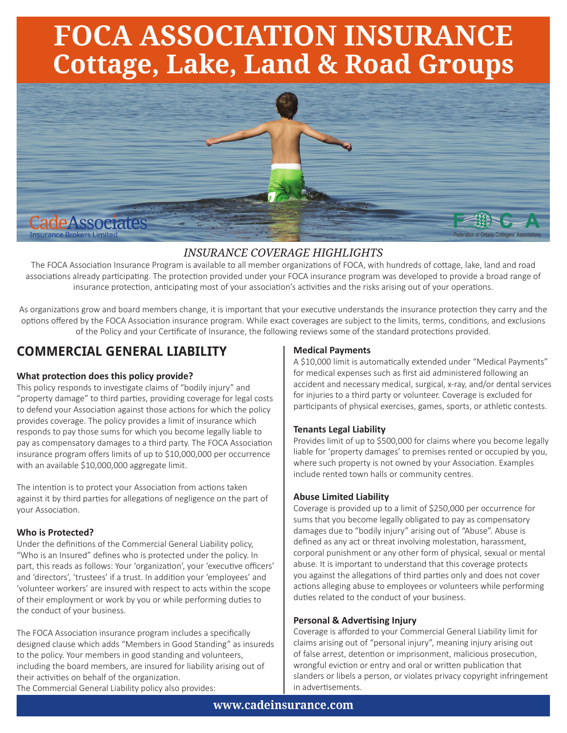# **FOCA ASSOCIATION INSURANCE Cottage, Lake, Land & Road Groups**



## *INSURANCE COVERAGE HIGHLIGHTS*

The FOCA Association Insurance Program is available to all member organizations of FOCA, with hundreds of cottage, lake, land and road associations already participating. The protection provided under your FOCA insurance program was developed to provide a broad range of insurance protection, anticipating most of your association's activities and the risks arising out of your operations.

As organizations grow and board members change, it is important that your executive understands the insurance protection they carry and the options offered by the FOCA Association insurance program. While exact coverages are subject to the limits, terms, conditions, and exclusions of the Policy and your Certificate of Insurance, the following reviews some of the standard protections provided.

## **COMMERCIAL GENERAL LIABILITY**

#### **What protection does this policy provide?**

This policy responds to investigate claims of "bodily injury" and "property damage" to third parties, providing coverage for legal costs to defend your Association against those actions for which the policy provides coverage. The policy provides a limit of insurance which responds to pay those sums for which you become legally liable to pay as compensatory damages to a third party. The FOCA Association insurance program offers limits of up to \$10,000,000 per occurrence with an available \$10,000,000 aggregate limit.

The intention is to protect your Association from actions taken against it by third parties for allegations of negligence on the part of your Association.

#### **Who is Protected?**

Under the definitions of the Commercial General Liability policy, "Who is an Insured" defines who is protected under the policy. In part, this reads as follows: Your 'organization', your 'executive officers' and 'directors', 'trustees' if a trust. In addition your 'employees' and 'volunteer workers' are insured with respect to acts within the scope of their employment or work by you or while performing duties to the conduct of your business.

The FOCA Association insurance program includes a specifically designed clause which adds "Members in Good Standing" as insureds to the policy. Your members in good standing and volunteers, including the board members, are insured for liability arising out of their activities on behalf of the organization.

### The Commercial General Liability policy also provides:

#### **Medical Payments**

A \$10,000 limit is automatically extended under "Medical Payments" for medical expenses such as first aid administered following an accident and necessary medical, surgical, x-ray, and/or dental services for injuries to a third party or volunteer. Coverage is excluded for participants of physical exercises, games, sports, or athletic contests.

#### **Tenants Legal Liability**

Provides limit of up to \$500,000 for claims where you become legally liable for 'property damages' to premises rented or occupied by you, where such property is not owned by your Association. Examples include rented town halls or community centres.

#### **Abuse Limited Liability**

Coverage is provided up to a limit of \$250,000 per occurrence for sums that you become legally obligated to pay as compensatory damages due to "bodily injury" arising out of "Abuse". Abuse is defined as any act or threat involving molestation, harassment, corporal punishment or any other form of physical, sexual or mental abuse. It is important to understand that this coverage protects you against the allegations of third parties only and does not cover actions alleging abuse to employees or volunteers while performing duties related to the conduct of your business.

#### **Personal & Advertising Injury**

Coverage is afforded to your Commercial General Liability limit for claims arising out of "personal injury", meaning injury arising out of false arrest, detention or imprisonment, malicious prosecution, wrongful eviction or entry and oral or written publication that slanders or libels a person, or violates privacy copyright infringement in advertisements.